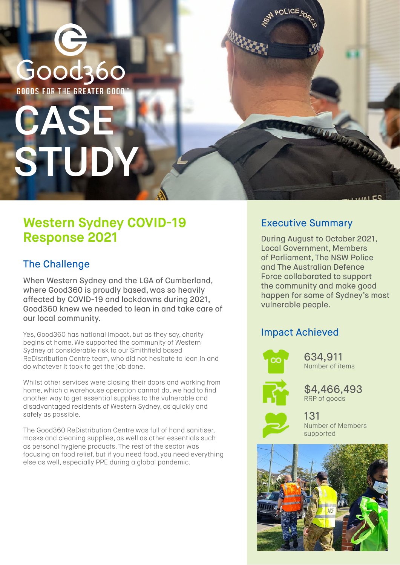# Good360 **GOODS FOR THE GREATER GOOD** CASE **STUDY**

## **Western Sydney COVID-19 Response 2021**

## The Challenge

When Western Sydney and the LGA of Cumberland, where Good360 is proudly based, was so heavily affected by COVID-19 and lockdowns during 2021, Good360 knew we needed to lean in and take care of our local community.

Yes, Good360 has national impact, but as they say, charity begins at home. We supported the community of Western Sydney at considerable risk to our Smithfield based ReDistribution Centre team, who did not hesitate to lean in and do whatever it took to get the job done.

Whilst other services were closing their doors and working from home, which a warehouse operation cannot do, we had to find another way to get essential supplies to the vulnerable and disadvantaged residents of Western Sydney, as quickly and safely as possible.

The Good360 ReDistribution Centre was full of hand sanitiser, masks and cleaning supplies, as well as other essentials such as personal hygiene products. The rest of the sector was focusing on food relief, but if you need food, you need everything else as well, especially PPE during a global pandemic.

## Executive Summary

**POLICE** 

During August to October 2021, Local Government, Members of Parliament, The NSW Police and The Australian Defence Force collaborated to support the community and make good happen for some of Sydney's most vulnerable people.

## Impact Achieved



634,911 Number of items



\$4,466,493 RRP of goods



131 Number of Members supported